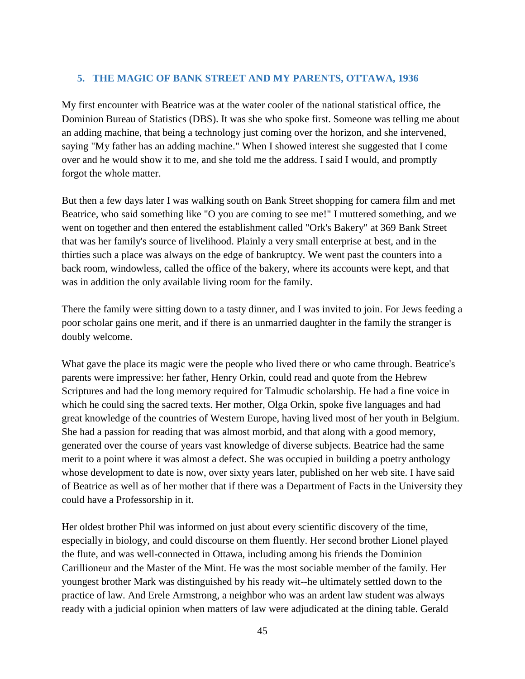## **5. THE MAGIC OF BANK STREET AND MY PARENTS, OTTAWA, 1936**

My first encounter with Beatrice was at the water cooler of the national statistical office, the Dominion Bureau of Statistics (DBS). It was she who spoke first. Someone was telling me about an adding machine, that being a technology just coming over the horizon, and she intervened, saying "My father has an adding machine." When I showed interest she suggested that I come over and he would show it to me, and she told me the address. I said I would, and promptly forgot the whole matter.

But then a few days later I was walking south on Bank Street shopping for camera film and met Beatrice, who said something like "O you are coming to see me!" I muttered something, and we went on together and then entered the establishment called "Ork's Bakery" at 369 Bank Street that was her family's source of livelihood. Plainly a very small enterprise at best, and in the thirties such a place was always on the edge of bankruptcy. We went past the counters into a back room, windowless, called the office of the bakery, where its accounts were kept, and that was in addition the only available living room for the family.

There the family were sitting down to a tasty dinner, and I was invited to join. For Jews feeding a poor scholar gains one merit, and if there is an unmarried daughter in the family the stranger is doubly welcome.

What gave the place its magic were the people who lived there or who came through. Beatrice's parents were impressive: her father, Henry Orkin, could read and quote from the Hebrew Scriptures and had the long memory required for Talmudic scholarship. He had a fine voice in which he could sing the sacred texts. Her mother, Olga Orkin, spoke five languages and had great knowledge of the countries of Western Europe, having lived most of her youth in Belgium. She had a passion for reading that was almost morbid, and that along with a good memory, generated over the course of years vast knowledge of diverse subjects. Beatrice had the same merit to a point where it was almost a defect. She was occupied in building a poetry anthology whose development to date is now, over sixty years later, published on her web site. I have said of Beatrice as well as of her mother that if there was a Department of Facts in the University they could have a Professorship in it.

Her oldest brother Phil was informed on just about every scientific discovery of the time, especially in biology, and could discourse on them fluently. Her second brother Lionel played the flute, and was well-connected in Ottawa, including among his friends the Dominion Carillioneur and the Master of the Mint. He was the most sociable member of the family. Her youngest brother Mark was distinguished by his ready wit--he ultimately settled down to the practice of law. And Erele Armstrong, a neighbor who was an ardent law student was always ready with a judicial opinion when matters of law were adjudicated at the dining table. Gerald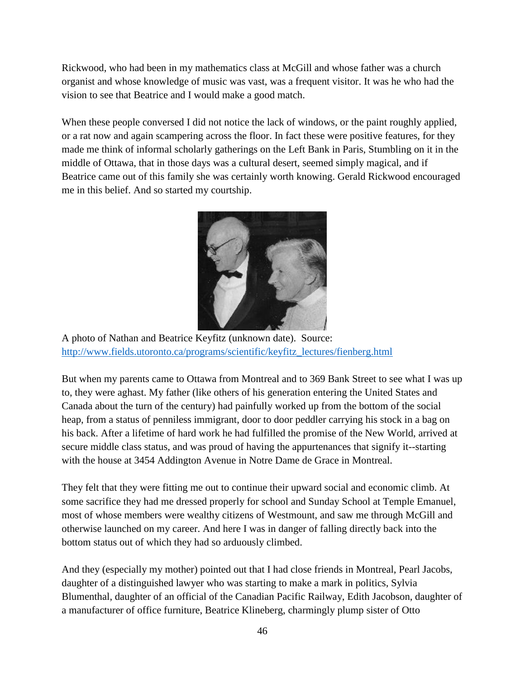Rickwood, who had been in my mathematics class at McGill and whose father was a church organist and whose knowledge of music was vast, was a frequent visitor. It was he who had the vision to see that Beatrice and I would make a good match.

When these people conversed I did not notice the lack of windows, or the paint roughly applied, or a rat now and again scampering across the floor. In fact these were positive features, for they made me think of informal scholarly gatherings on the Left Bank in Paris, Stumbling on it in the middle of Ottawa, that in those days was a cultural desert, seemed simply magical, and if Beatrice came out of this family she was certainly worth knowing. Gerald Rickwood encouraged me in this belief. And so started my courtship.



A photo of Nathan and Beatrice Keyfitz (unknown date). Source: [http://www.fields.utoronto.ca/programs/scientific/keyfitz\\_lectures/fienberg.html](http://www.fields.utoronto.ca/programs/scientific/keyfitz_lectures/fienberg.html)

But when my parents came to Ottawa from Montreal and to 369 Bank Street to see what I was up to, they were aghast. My father (like others of his generation entering the United States and Canada about the turn of the century) had painfully worked up from the bottom of the social heap, from a status of penniless immigrant, door to door peddler carrying his stock in a bag on his back. After a lifetime of hard work he had fulfilled the promise of the New World, arrived at secure middle class status, and was proud of having the appurtenances that signify it--starting with the house at 3454 Addington Avenue in Notre Dame de Grace in Montreal.

They felt that they were fitting me out to continue their upward social and economic climb. At some sacrifice they had me dressed properly for school and Sunday School at Temple Emanuel, most of whose members were wealthy citizens of Westmount, and saw me through McGill and otherwise launched on my career. And here I was in danger of falling directly back into the bottom status out of which they had so arduously climbed.

And they (especially my mother) pointed out that I had close friends in Montreal, Pearl Jacobs, daughter of a distinguished lawyer who was starting to make a mark in politics, Sylvia Blumenthal, daughter of an official of the Canadian Pacific Railway, Edith Jacobson, daughter of a manufacturer of office furniture, Beatrice Klineberg, charmingly plump sister of Otto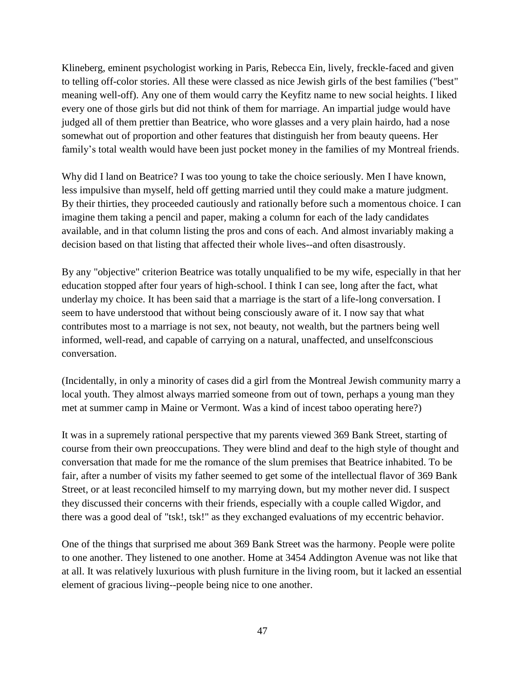Klineberg, eminent psychologist working in Paris, Rebecca Ein, lively, freckle-faced and given to telling off-color stories. All these were classed as nice Jewish girls of the best families ("best" meaning well-off). Any one of them would carry the Keyfitz name to new social heights. I liked every one of those girls but did not think of them for marriage. An impartial judge would have judged all of them prettier than Beatrice, who wore glasses and a very plain hairdo, had a nose somewhat out of proportion and other features that distinguish her from beauty queens. Her family's total wealth would have been just pocket money in the families of my Montreal friends.

Why did I land on Beatrice? I was too young to take the choice seriously. Men I have known, less impulsive than myself, held off getting married until they could make a mature judgment. By their thirties, they proceeded cautiously and rationally before such a momentous choice. I can imagine them taking a pencil and paper, making a column for each of the lady candidates available, and in that column listing the pros and cons of each. And almost invariably making a decision based on that listing that affected their whole lives--and often disastrously.

By any "objective" criterion Beatrice was totally unqualified to be my wife, especially in that her education stopped after four years of high-school. I think I can see, long after the fact, what underlay my choice. It has been said that a marriage is the start of a life-long conversation. I seem to have understood that without being consciously aware of it. I now say that what contributes most to a marriage is not sex, not beauty, not wealth, but the partners being well informed, well-read, and capable of carrying on a natural, unaffected, and unselfconscious conversation.

(Incidentally, in only a minority of cases did a girl from the Montreal Jewish community marry a local youth. They almost always married someone from out of town, perhaps a young man they met at summer camp in Maine or Vermont. Was a kind of incest taboo operating here?)

It was in a supremely rational perspective that my parents viewed 369 Bank Street, starting of course from their own preoccupations. They were blind and deaf to the high style of thought and conversation that made for me the romance of the slum premises that Beatrice inhabited. To be fair, after a number of visits my father seemed to get some of the intellectual flavor of 369 Bank Street, or at least reconciled himself to my marrying down, but my mother never did. I suspect they discussed their concerns with their friends, especially with a couple called Wigdor, and there was a good deal of "tsk!, tsk!" as they exchanged evaluations of my eccentric behavior.

One of the things that surprised me about 369 Bank Street was the harmony. People were polite to one another. They listened to one another. Home at 3454 Addington Avenue was not like that at all. It was relatively luxurious with plush furniture in the living room, but it lacked an essential element of gracious living--people being nice to one another.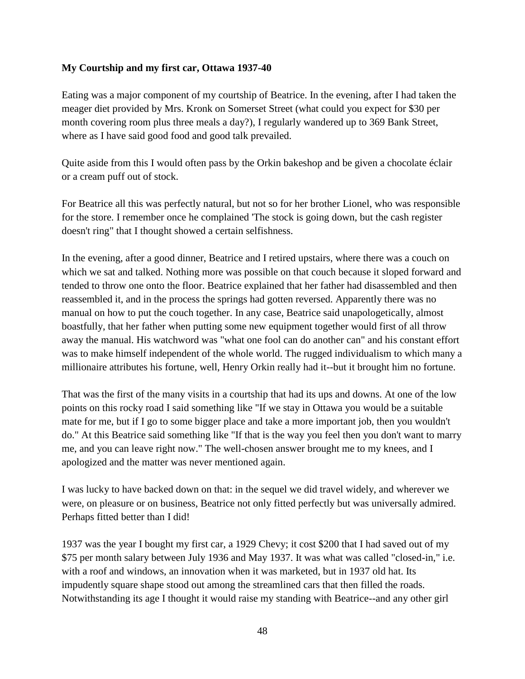## **My Courtship and my first car, Ottawa 1937-40**

Eating was a major component of my courtship of Beatrice. In the evening, after I had taken the meager diet provided by Mrs. Kronk on Somerset Street (what could you expect for \$30 per month covering room plus three meals a day?), I regularly wandered up to 369 Bank Street, where as I have said good food and good talk prevailed.

Quite aside from this I would often pass by the Orkin bakeshop and be given a chocolate éclair or a cream puff out of stock.

For Beatrice all this was perfectly natural, but not so for her brother Lionel, who was responsible for the store. I remember once he complained 'The stock is going down, but the cash register doesn't ring" that I thought showed a certain selfishness.

In the evening, after a good dinner, Beatrice and I retired upstairs, where there was a couch on which we sat and talked. Nothing more was possible on that couch because it sloped forward and tended to throw one onto the floor. Beatrice explained that her father had disassembled and then reassembled it, and in the process the springs had gotten reversed. Apparently there was no manual on how to put the couch together. In any case, Beatrice said unapologetically, almost boastfully, that her father when putting some new equipment together would first of all throw away the manual. His watchword was "what one fool can do another can" and his constant effort was to make himself independent of the whole world. The rugged individualism to which many a millionaire attributes his fortune, well, Henry Orkin really had it--but it brought him no fortune.

That was the first of the many visits in a courtship that had its ups and downs. At one of the low points on this rocky road I said something like "If we stay in Ottawa you would be a suitable mate for me, but if I go to some bigger place and take a more important job, then you wouldn't do." At this Beatrice said something like "If that is the way you feel then you don't want to marry me, and you can leave right now." The well-chosen answer brought me to my knees, and I apologized and the matter was never mentioned again.

I was lucky to have backed down on that: in the sequel we did travel widely, and wherever we were, on pleasure or on business, Beatrice not only fitted perfectly but was universally admired. Perhaps fitted better than I did!

1937 was the year I bought my first car, a 1929 Chevy; it cost \$200 that I had saved out of my \$75 per month salary between July 1936 and May 1937. It was what was called "closed-in," i.e. with a roof and windows, an innovation when it was marketed, but in 1937 old hat. Its impudently square shape stood out among the streamlined cars that then filled the roads. Notwithstanding its age I thought it would raise my standing with Beatrice--and any other girl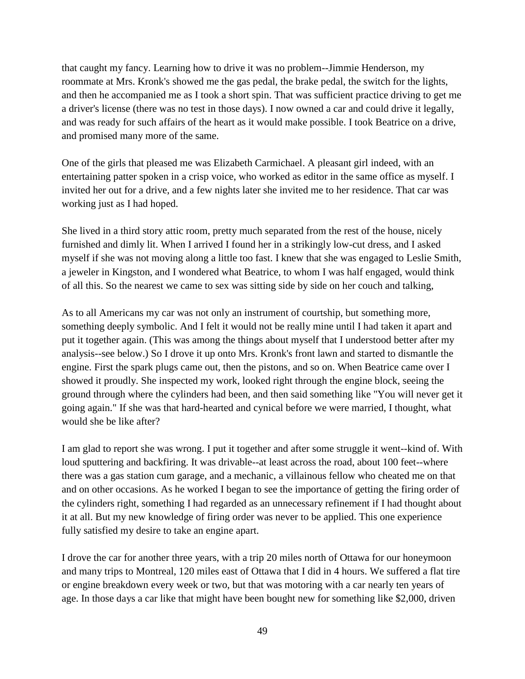that caught my fancy. Learning how to drive it was no problem--Jimmie Henderson, my roommate at Mrs. Kronk's showed me the gas pedal, the brake pedal, the switch for the lights, and then he accompanied me as I took a short spin. That was sufficient practice driving to get me a driver's license (there was no test in those days). I now owned a car and could drive it legally, and was ready for such affairs of the heart as it would make possible. I took Beatrice on a drive, and promised many more of the same.

One of the girls that pleased me was Elizabeth Carmichael. A pleasant girl indeed, with an entertaining patter spoken in a crisp voice, who worked as editor in the same office as myself. I invited her out for a drive, and a few nights later she invited me to her residence. That car was working just as I had hoped.

She lived in a third story attic room, pretty much separated from the rest of the house, nicely furnished and dimly lit. When I arrived I found her in a strikingly low-cut dress, and I asked myself if she was not moving along a little too fast. I knew that she was engaged to Leslie Smith, a jeweler in Kingston, and I wondered what Beatrice, to whom I was half engaged, would think of all this. So the nearest we came to sex was sitting side by side on her couch and talking,

As to all Americans my car was not only an instrument of courtship, but something more, something deeply symbolic. And I felt it would not be really mine until I had taken it apart and put it together again. (This was among the things about myself that I understood better after my analysis--see below.) So I drove it up onto Mrs. Kronk's front lawn and started to dismantle the engine. First the spark plugs came out, then the pistons, and so on. When Beatrice came over I showed it proudly. She inspected my work, looked right through the engine block, seeing the ground through where the cylinders had been, and then said something like "You will never get it going again." If she was that hard-hearted and cynical before we were married, I thought, what would she be like after?

I am glad to report she was wrong. I put it together and after some struggle it went--kind of. With loud sputtering and backfiring. It was drivable--at least across the road, about 100 feet--where there was a gas station cum garage, and a mechanic, a villainous fellow who cheated me on that and on other occasions. As he worked I began to see the importance of getting the firing order of the cylinders right, something I had regarded as an unnecessary refinement if I had thought about it at all. But my new knowledge of firing order was never to be applied. This one experience fully satisfied my desire to take an engine apart.

I drove the car for another three years, with a trip 20 miles north of Ottawa for our honeymoon and many trips to Montreal, 120 miles east of Ottawa that I did in 4 hours. We suffered a flat tire or engine breakdown every week or two, but that was motoring with a car nearly ten years of age. In those days a car like that might have been bought new for something like \$2,000, driven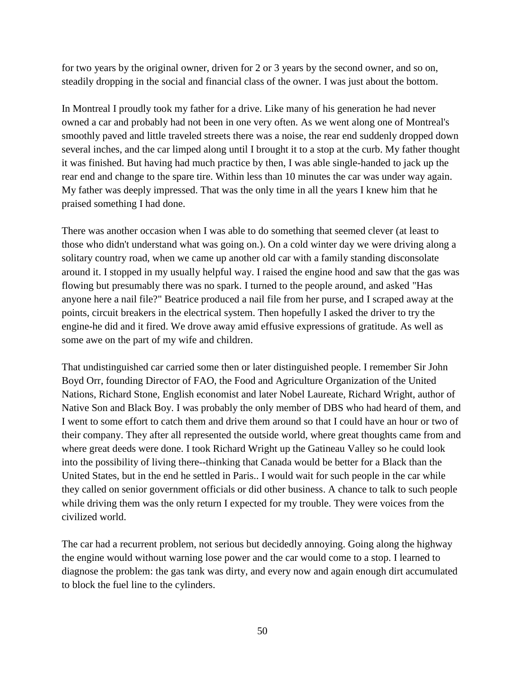for two years by the original owner, driven for 2 or 3 years by the second owner, and so on, steadily dropping in the social and financial class of the owner. I was just about the bottom.

In Montreal I proudly took my father for a drive. Like many of his generation he had never owned a car and probably had not been in one very often. As we went along one of Montreal's smoothly paved and little traveled streets there was a noise, the rear end suddenly dropped down several inches, and the car limped along until I brought it to a stop at the curb. My father thought it was finished. But having had much practice by then, I was able single-handed to jack up the rear end and change to the spare tire. Within less than 10 minutes the car was under way again. My father was deeply impressed. That was the only time in all the years I knew him that he praised something I had done.

There was another occasion when I was able to do something that seemed clever (at least to those who didn't understand what was going on.). On a cold winter day we were driving along a solitary country road, when we came up another old car with a family standing disconsolate around it. I stopped in my usually helpful way. I raised the engine hood and saw that the gas was flowing but presumably there was no spark. I turned to the people around, and asked "Has anyone here a nail file?" Beatrice produced a nail file from her purse, and I scraped away at the points, circuit breakers in the electrical system. Then hopefully I asked the driver to try the engine-he did and it fired. We drove away amid effusive expressions of gratitude. As well as some awe on the part of my wife and children.

That undistinguished car carried some then or later distinguished people. I remember Sir John Boyd Orr, founding Director of FAO, the Food and Agriculture Organization of the United Nations, Richard Stone, English economist and later Nobel Laureate, Richard Wright, author of Native Son and Black Boy. I was probably the only member of DBS who had heard of them, and I went to some effort to catch them and drive them around so that I could have an hour or two of their company. They after all represented the outside world, where great thoughts came from and where great deeds were done. I took Richard Wright up the Gatineau Valley so he could look into the possibility of living there--thinking that Canada would be better for a Black than the United States, but in the end he settled in Paris.. I would wait for such people in the car while they called on senior government officials or did other business. A chance to talk to such people while driving them was the only return I expected for my trouble. They were voices from the civilized world.

The car had a recurrent problem, not serious but decidedly annoying. Going along the highway the engine would without warning lose power and the car would come to a stop. I learned to diagnose the problem: the gas tank was dirty, and every now and again enough dirt accumulated to block the fuel line to the cylinders.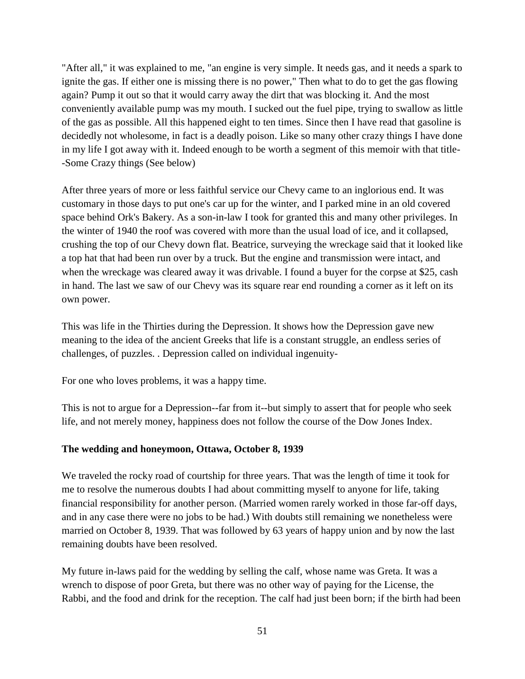"After all," it was explained to me, "an engine is very simple. It needs gas, and it needs a spark to ignite the gas. If either one is missing there is no power," Then what to do to get the gas flowing again? Pump it out so that it would carry away the dirt that was blocking it. And the most conveniently available pump was my mouth. I sucked out the fuel pipe, trying to swallow as little of the gas as possible. All this happened eight to ten times. Since then I have read that gasoline is decidedly not wholesome, in fact is a deadly poison. Like so many other crazy things I have done in my life I got away with it. Indeed enough to be worth a segment of this memoir with that title- -Some Crazy things (See below)

After three years of more or less faithful service our Chevy came to an inglorious end. It was customary in those days to put one's car up for the winter, and I parked mine in an old covered space behind Ork's Bakery. As a son-in-law I took for granted this and many other privileges. In the winter of 1940 the roof was covered with more than the usual load of ice, and it collapsed, crushing the top of our Chevy down flat. Beatrice, surveying the wreckage said that it looked like a top hat that had been run over by a truck. But the engine and transmission were intact, and when the wreckage was cleared away it was drivable. I found a buyer for the corpse at \$25, cash in hand. The last we saw of our Chevy was its square rear end rounding a corner as it left on its own power.

This was life in the Thirties during the Depression. It shows how the Depression gave new meaning to the idea of the ancient Greeks that life is a constant struggle, an endless series of challenges, of puzzles. . Depression called on individual ingenuity-

For one who loves problems, it was a happy time.

This is not to argue for a Depression--far from it--but simply to assert that for people who seek life, and not merely money, happiness does not follow the course of the Dow Jones Index.

## **The wedding and honeymoon, Ottawa, October 8, 1939**

We traveled the rocky road of courtship for three years. That was the length of time it took for me to resolve the numerous doubts I had about committing myself to anyone for life, taking financial responsibility for another person. (Married women rarely worked in those far-off days, and in any case there were no jobs to be had.) With doubts still remaining we nonetheless were married on October 8, 1939. That was followed by 63 years of happy union and by now the last remaining doubts have been resolved.

My future in-laws paid for the wedding by selling the calf, whose name was Greta. It was a wrench to dispose of poor Greta, but there was no other way of paying for the License, the Rabbi, and the food and drink for the reception. The calf had just been born; if the birth had been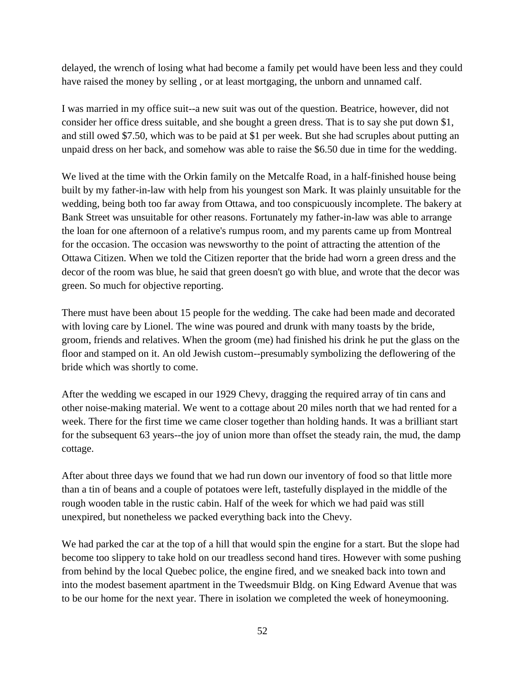delayed, the wrench of losing what had become a family pet would have been less and they could have raised the money by selling , or at least mortgaging, the unborn and unnamed calf.

I was married in my office suit--a new suit was out of the question. Beatrice, however, did not consider her office dress suitable, and she bought a green dress. That is to say she put down \$1, and still owed \$7.50, which was to be paid at \$1 per week. But she had scruples about putting an unpaid dress on her back, and somehow was able to raise the \$6.50 due in time for the wedding.

We lived at the time with the Orkin family on the Metcalfe Road, in a half-finished house being built by my father-in-law with help from his youngest son Mark. It was plainly unsuitable for the wedding, being both too far away from Ottawa, and too conspicuously incomplete. The bakery at Bank Street was unsuitable for other reasons. Fortunately my father-in-law was able to arrange the loan for one afternoon of a relative's rumpus room, and my parents came up from Montreal for the occasion. The occasion was newsworthy to the point of attracting the attention of the Ottawa Citizen. When we told the Citizen reporter that the bride had worn a green dress and the decor of the room was blue, he said that green doesn't go with blue, and wrote that the decor was green. So much for objective reporting.

There must have been about 15 people for the wedding. The cake had been made and decorated with loving care by Lionel. The wine was poured and drunk with many toasts by the bride, groom, friends and relatives. When the groom (me) had finished his drink he put the glass on the floor and stamped on it. An old Jewish custom--presumably symbolizing the deflowering of the bride which was shortly to come.

After the wedding we escaped in our 1929 Chevy, dragging the required array of tin cans and other noise-making material. We went to a cottage about 20 miles north that we had rented for a week. There for the first time we came closer together than holding hands. It was a brilliant start for the subsequent 63 years--the joy of union more than offset the steady rain, the mud, the damp cottage.

After about three days we found that we had run down our inventory of food so that little more than a tin of beans and a couple of potatoes were left, tastefully displayed in the middle of the rough wooden table in the rustic cabin. Half of the week for which we had paid was still unexpired, but nonetheless we packed everything back into the Chevy.

We had parked the car at the top of a hill that would spin the engine for a start. But the slope had become too slippery to take hold on our treadless second hand tires. However with some pushing from behind by the local Quebec police, the engine fired, and we sneaked back into town and into the modest basement apartment in the Tweedsmuir Bldg. on King Edward Avenue that was to be our home for the next year. There in isolation we completed the week of honeymooning.